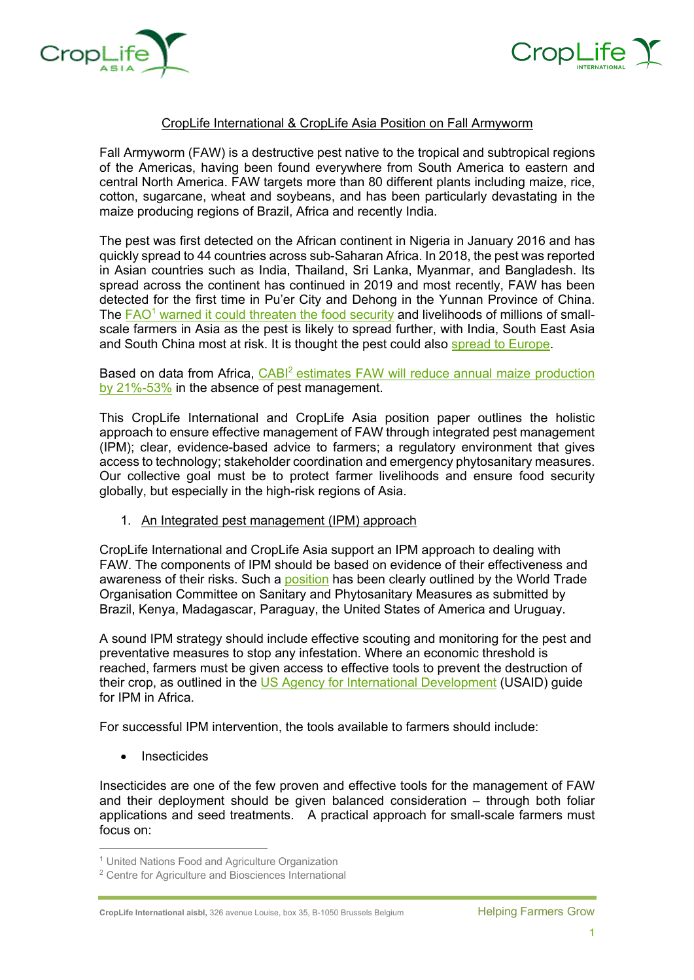



## CropLife International & CropLife Asia Position on Fall Armyworm

Fall Armyworm (FAW) is a destructive pest native to the tropical and subtropical regions of the Americas, having been found everywhere from South America to eastern and central North America. FAW targets more than 80 different plants including maize, rice, cotton, sugarcane, wheat and soybeans, and has been particularly devastating in the maize producing regions of Brazil, Africa and recently India.

The pest was first detected on the African continent in Nigeria in January 2016 and has quickly spread to 44 countries across sub-Saharan Africa. In 2018, the pest was reported in Asian countries such as India, Thailand, Sri Lanka, Myanmar, and Bangladesh. Its spread across the continent has continued in 2019 and most recently, FAW has been detected for the first time in Pu'er City and Dehong in the Yunnan Province of China. The FAO<sup>1</sup> warned it could threaten the food security and livelihoods of millions of smallscale farmers in Asia as the pest is likely to spread further, with India, South East Asia and South China most at risk. It is thought the pest could also spread to Europe.

Based on data from Africa, CABI<sup>2</sup> estimates FAW will reduce annual maize production by 21%-53% in the absence of pest management.

This CropLife International and CropLife Asia position paper outlines the holistic approach to ensure effective management of FAW through integrated pest management (IPM); clear, evidence-based advice to farmers; a regulatory environment that gives access to technology; stakeholder coordination and emergency phytosanitary measures. Our collective goal must be to protect farmer livelihoods and ensure food security globally, but especially in the high-risk regions of Asia.

1. An Integrated pest management (IPM) approach

CropLife International and CropLife Asia support an IPM approach to dealing with FAW. The components of IPM should be based on evidence of their effectiveness and awareness of their risks. Such a position has been clearly outlined by the World Trade Organisation Committee on Sanitary and Phytosanitary Measures as submitted by Brazil, Kenya, Madagascar, Paraguay, the United States of America and Uruguay.

A sound IPM strategy should include effective scouting and monitoring for the pest and preventative measures to stop any infestation. Where an economic threshold is reached, farmers must be given access to effective tools to prevent the destruction of their crop, as outlined in the US Agency for International Development (USAID) guide for IPM in Africa.

For successful IPM intervention, the tools available to farmers should include:

**Insecticides** 

Insecticides are one of the few proven and effective tools for the management of FAW and their deployment should be given balanced consideration – through both foliar applications and seed treatments. A practical approach for small-scale farmers must focus on:

 <sup>1</sup> United Nations Food and Agriculture Organization

<sup>2</sup> Centre for Agriculture and Biosciences International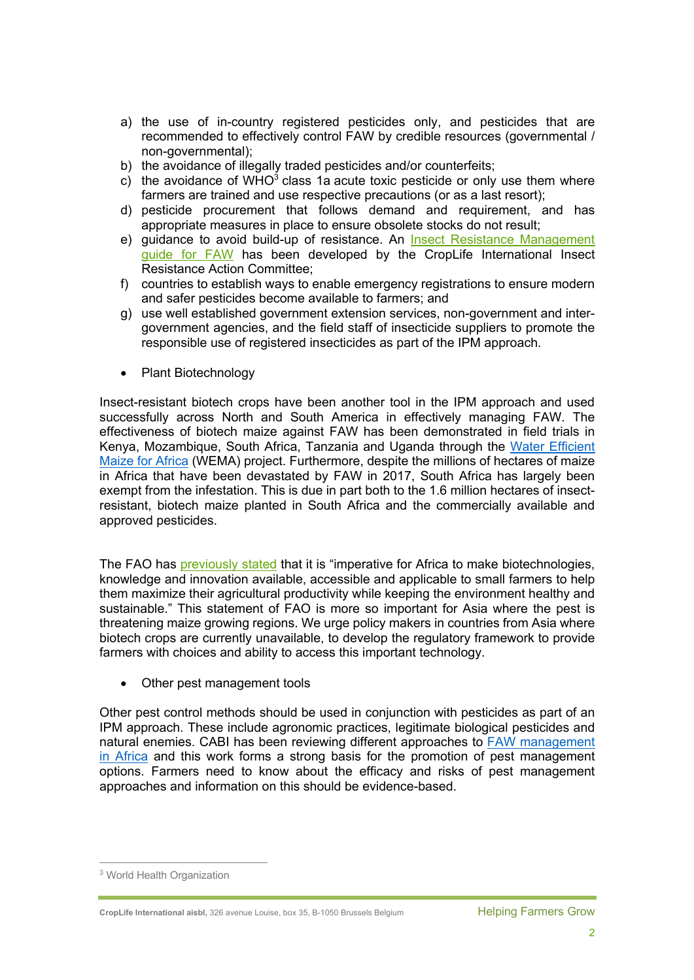- a) the use of in-country registered pesticides only, and pesticides that are recommended to effectively control FAW by credible resources (governmental / non-governmental);
- b) the avoidance of illegally traded pesticides and/or counterfeits;
- c) the avoidance of WHO $3$  class 1a acute toxic pesticide or only use them where farmers are trained and use respective precautions (or as a last resort);
- d) pesticide procurement that follows demand and requirement, and has appropriate measures in place to ensure obsolete stocks do not result;
- e) guidance to avoid build-up of resistance. An Insect Resistance Management guide for FAW has been developed by the CropLife International Insect Resistance Action Committee;
- f) countries to establish ways to enable emergency registrations to ensure modern and safer pesticides become available to farmers; and
- g) use well established government extension services, non-government and intergovernment agencies, and the field staff of insecticide suppliers to promote the responsible use of registered insecticides as part of the IPM approach.
- Plant Biotechnology

Insect-resistant biotech crops have been another tool in the IPM approach and used successfully across North and South America in effectively managing FAW. The effectiveness of biotech maize against FAW has been demonstrated in field trials in Kenya, Mozambique, South Africa, Tanzania and Uganda through the Water Efficient Maize for Africa (WEMA) project. Furthermore, despite the millions of hectares of maize in Africa that have been devastated by FAW in 2017, South Africa has largely been exempt from the infestation. This is due in part both to the 1.6 million hectares of insectresistant, biotech maize planted in South Africa and the commercially available and approved pesticides.

The FAO has previously stated that it is "imperative for Africa to make biotechnologies, knowledge and innovation available, accessible and applicable to small farmers to help them maximize their agricultural productivity while keeping the environment healthy and sustainable." This statement of FAO is more so important for Asia where the pest is threatening maize growing regions. We urge policy makers in countries from Asia where biotech crops are currently unavailable, to develop the regulatory framework to provide farmers with choices and ability to access this important technology.

• Other pest management tools

Other pest control methods should be used in conjunction with pesticides as part of an IPM approach. These include agronomic practices, legitimate biological pesticides and natural enemies. CABI has been reviewing different approaches to FAW management in Africa and this work forms a strong basis for the promotion of pest management options. Farmers need to know about the efficacy and risks of pest management approaches and information on this should be evidence-based.

 <sup>3</sup> World Health Organization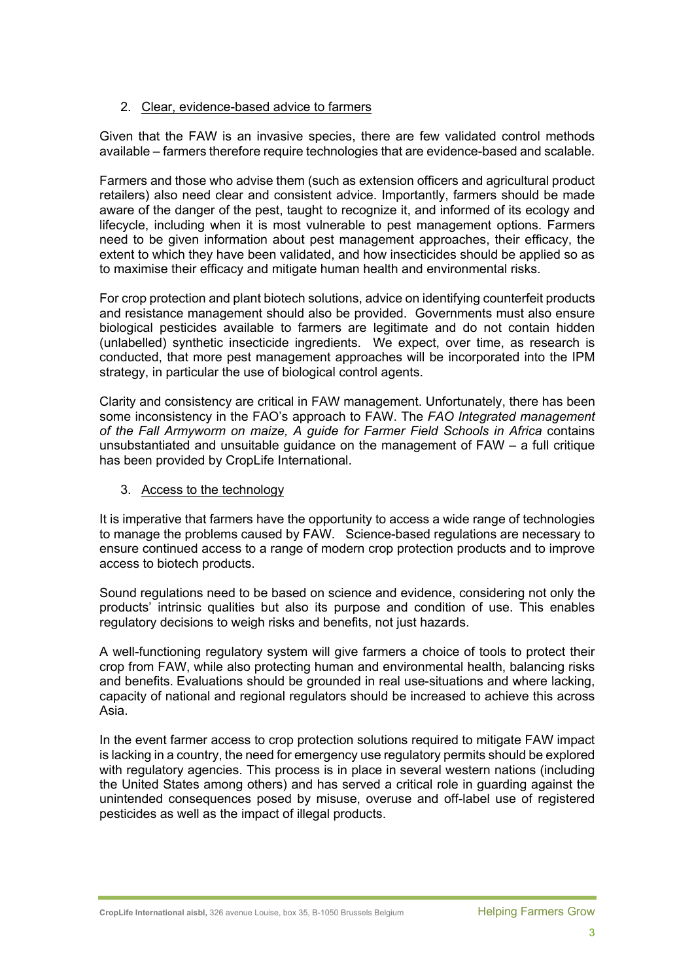## 2. Clear, evidence-based advice to farmers

Given that the FAW is an invasive species, there are few validated control methods available – farmers therefore require technologies that are evidence-based and scalable.

Farmers and those who advise them (such as extension officers and agricultural product retailers) also need clear and consistent advice. Importantly, farmers should be made aware of the danger of the pest, taught to recognize it, and informed of its ecology and lifecycle, including when it is most vulnerable to pest management options. Farmers need to be given information about pest management approaches, their efficacy, the extent to which they have been validated, and how insecticides should be applied so as to maximise their efficacy and mitigate human health and environmental risks.

For crop protection and plant biotech solutions, advice on identifying counterfeit products and resistance management should also be provided. Governments must also ensure biological pesticides available to farmers are legitimate and do not contain hidden (unlabelled) synthetic insecticide ingredients. We expect, over time, as research is conducted, that more pest management approaches will be incorporated into the IPM strategy, in particular the use of biological control agents.

Clarity and consistency are critical in FAW management. Unfortunately, there has been some inconsistency in the FAO's approach to FAW. The *FAO Integrated management of the Fall Armyworm on maize, A guide for Farmer Field Schools in Africa* contains unsubstantiated and unsuitable guidance on the management of  $FAW - a$  full critique has been provided by CropLife International.

3. Access to the technology

It is imperative that farmers have the opportunity to access a wide range of technologies to manage the problems caused by FAW. Science-based regulations are necessary to ensure continued access to a range of modern crop protection products and to improve access to biotech products.

Sound regulations need to be based on science and evidence, considering not only the products' intrinsic qualities but also its purpose and condition of use. This enables regulatory decisions to weigh risks and benefits, not just hazards.

A well-functioning regulatory system will give farmers a choice of tools to protect their crop from FAW, while also protecting human and environmental health, balancing risks and benefits. Evaluations should be grounded in real use-situations and where lacking, capacity of national and regional regulators should be increased to achieve this across Asia.

In the event farmer access to crop protection solutions required to mitigate FAW impact is lacking in a country, the need for emergency use regulatory permits should be explored with regulatory agencies. This process is in place in several western nations (including the United States among others) and has served a critical role in guarding against the unintended consequences posed by misuse, overuse and off-label use of registered pesticides as well as the impact of illegal products.